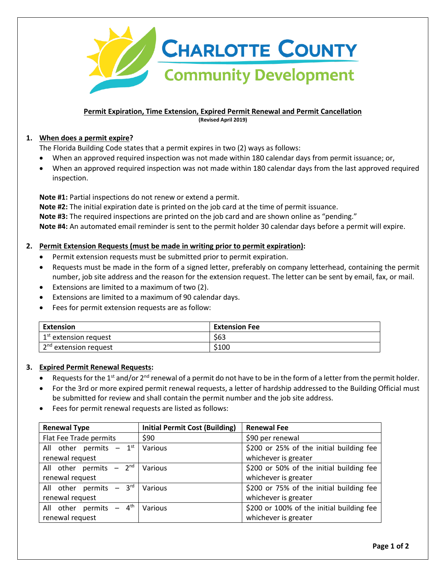

### **Permit Expiration, Time Extension, Expired Permit Renewal and Permit Cancellation (Revised April 2019)**

# **1. When does a permit expire?**

The Florida Building Code states that a permit expires in two (2) ways as follows:

- When an approved required inspection was not made within 180 calendar days from permit issuance; or,
- When an approved required inspection was not made within 180 calendar days from the last approved required inspection.

**Note #1:** Partial inspections do not renew or extend a permit.

**Note #2:** The initial expiration date is printed on the job card at the time of permit issuance. **Note #3:** The required inspections are printed on the job card and are shown online as "pending." **Note #4:** An automated email reminder is sent to the permit holder 30 calendar days before a permit will expire.

# **2. Permit Extension Requests (must be made in writing prior to permit expiration):**

- Permit extension requests must be submitted prior to permit expiration.
- Requests must be made in the form of a signed letter, preferably on company letterhead, containing the permit number, job site address and the reason for the extension request. The letter can be sent by email, fax, or mail.
- Extensions are limited to a maximum of two (2).
- Extensions are limited to a maximum of 90 calendar days.
- Fees for permit extension requests are as follow:

| <b>Extension</b>                  | <b>Extension Fee</b> |
|-----------------------------------|----------------------|
| 1 <sup>st</sup> extension request | \$63                 |
| 2 <sup>nd</sup> extension request | \$100                |

# **3. Expired Permit Renewal Requests:**

- Requests for the 1<sup>st</sup> and/or  $2^{nd}$  renewal of a permit do not have to be in the form of a letter from the permit holder.
- For the 3rd or more expired permit renewal requests, a letter of hardship addressed to the Building Official must be submitted for review and shall contain the permit number and the job site address.
- Fees for permit renewal requests are listed as follows:

| <b>Renewal Type</b>                  | <b>Initial Permit Cost (Building)</b> | <b>Renewal Fee</b>                        |
|--------------------------------------|---------------------------------------|-------------------------------------------|
| Flat Fee Trade permits               | \$90                                  | \$90 per renewal                          |
| All other permits $-1^{st}$          | Various                               | \$200 or 25% of the initial building fee  |
| renewal request                      |                                       | whichever is greater                      |
| All other permits $-2^{nd}$          | Various                               | \$200 or 50% of the initial building fee  |
| renewal request                      |                                       | whichever is greater                      |
| All other permits $-3^{rd}$          | Various                               | \$200 or 75% of the initial building fee  |
| renewal request                      |                                       | whichever is greater                      |
| All other permits $-4$ <sup>th</sup> | Various                               | \$200 or 100% of the initial building fee |
| renewal request                      |                                       | whichever is greater                      |